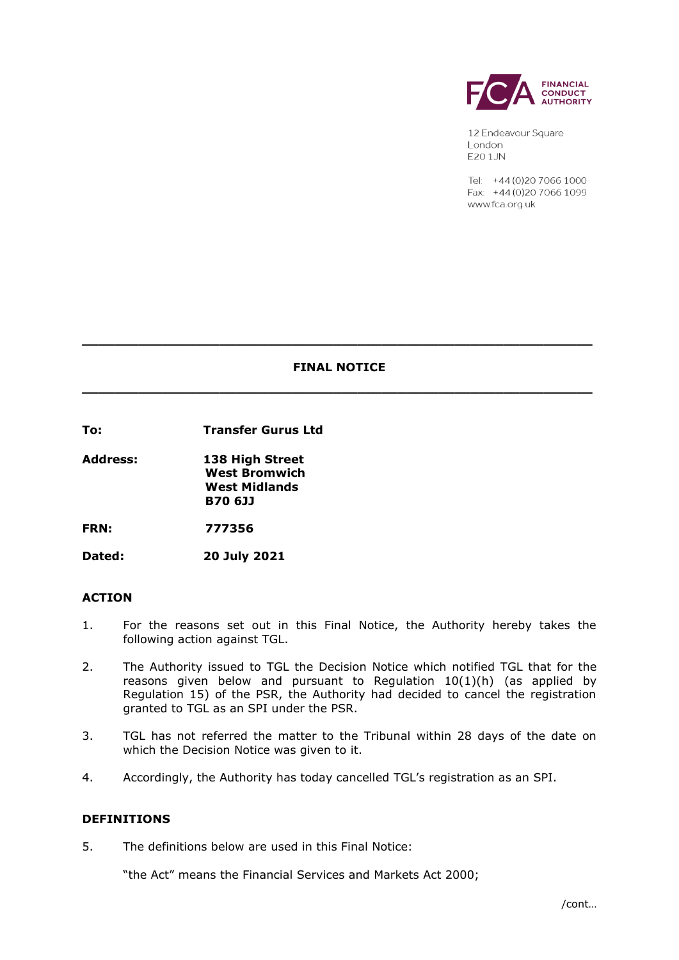

12 Endeavour Square London **E20 1JN** 

Tel: +44 (0) 20 7066 1000 Fax: +44 (0) 20 7066 1099 www.fca.org.uk

# **FINAL NOTICE \_\_\_\_\_\_\_\_\_\_\_\_\_\_\_\_\_\_\_\_\_\_\_\_\_\_\_\_\_\_\_\_\_\_\_\_\_\_\_\_\_\_\_\_\_\_\_\_\_\_\_\_\_\_\_\_\_\_\_\_\_\_\_**

**\_\_\_\_\_\_\_\_\_\_\_\_\_\_\_\_\_\_\_\_\_\_\_\_\_\_\_\_\_\_\_\_\_\_\_\_\_\_\_\_\_\_\_\_\_\_\_\_\_\_\_\_\_\_\_\_\_\_\_\_\_\_\_**

**To: Transfer Gurus Ltd**

**Address: 138 High Street West Bromwich West Midlands B70 6JJ**

**FRN: 777356**

**Dated: 20 July 2021**

### **ACTION**

- 1. For the reasons set out in this Final Notice, the Authority hereby takes the following action against TGL.
- 2. The Authority issued to TGL the Decision Notice which notified TGL that for the reasons given below and pursuant to Regulation  $10(1)(h)$  (as applied by Regulation 15) of the PSR, the Authority had decided to cancel the registration granted to TGL as an SPI under the PSR.
- 3. TGL has not referred the matter to the Tribunal within 28 days of the date on which the Decision Notice was given to it.
- 4. Accordingly, the Authority has today cancelled TGL's registration as an SPI.

#### **DEFINITIONS**

5. The definitions below are used in this Final Notice:

"the Act" means the Financial Services and Markets Act 2000;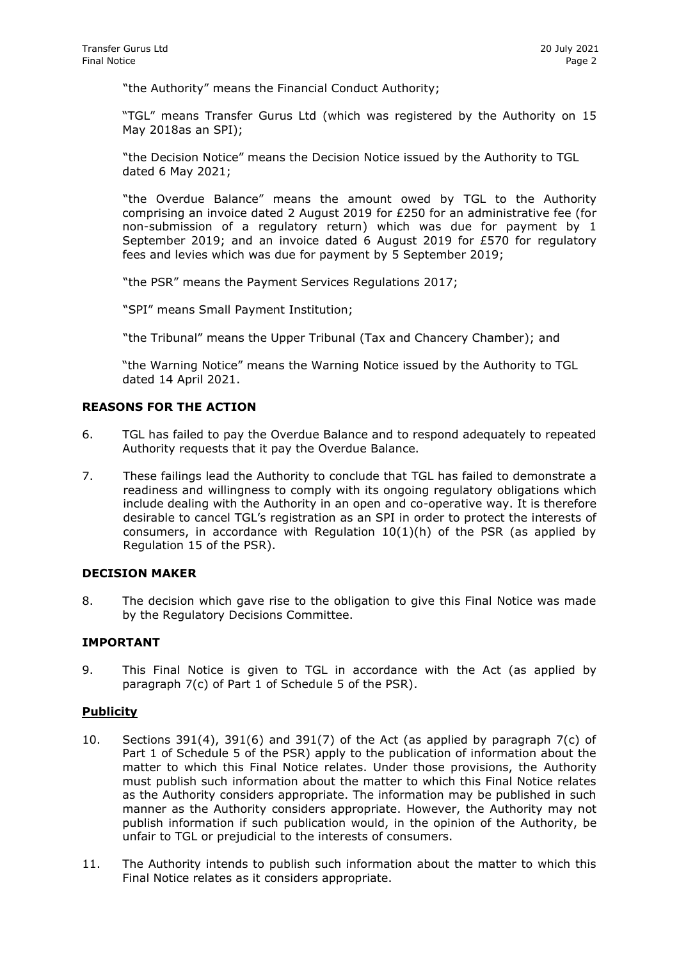"the Authority" means the Financial Conduct Authority;

"TGL" means Transfer Gurus Ltd (which was registered by the Authority on 15 May 2018as an SPI);

"the Decision Notice" means the Decision Notice issued by the Authority to TGL dated 6 May 2021;

"the Overdue Balance" means the amount owed by TGL to the Authority comprising an invoice dated 2 August 2019 for £250 for an administrative fee (for non-submission of a regulatory return) which was due for payment by 1 September 2019; and an invoice dated 6 August 2019 for £570 for regulatory fees and levies which was due for payment by 5 September 2019;

"the PSR" means the Payment Services Regulations 2017;

"SPI" means Small Payment Institution;

"the Tribunal" means the Upper Tribunal (Tax and Chancery Chamber); and

"the Warning Notice" means the Warning Notice issued by the Authority to TGL dated 14 April 2021.

#### **REASONS FOR THE ACTION**

- 6. TGL has failed to pay the Overdue Balance and to respond adequately to repeated Authority requests that it pay the Overdue Balance.
- 7. These failings lead the Authority to conclude that TGL has failed to demonstrate a readiness and willingness to comply with its ongoing regulatory obligations which include dealing with the Authority in an open and co-operative way. It is therefore desirable to cancel TGL's registration as an SPI in order to protect the interests of consumers, in accordance with Regulation 10(1)(h) of the PSR (as applied by Regulation 15 of the PSR).

#### **DECISION MAKER**

8. The decision which gave rise to the obligation to give this Final Notice was made by the Regulatory Decisions Committee.

#### **IMPORTANT**

9. This Final Notice is given to TGL in accordance with the Act (as applied by paragraph 7(c) of Part 1 of Schedule 5 of the PSR).

#### **Publicity**

- 10. Sections 391(4), 391(6) and 391(7) of the Act (as applied by paragraph 7(c) of Part 1 of Schedule 5 of the PSR) apply to the publication of information about the matter to which this Final Notice relates. Under those provisions, the Authority must publish such information about the matter to which this Final Notice relates as the Authority considers appropriate. The information may be published in such manner as the Authority considers appropriate. However, the Authority may not publish information if such publication would, in the opinion of the Authority, be unfair to TGL or prejudicial to the interests of consumers.
- 11. The Authority intends to publish such information about the matter to which this Final Notice relates as it considers appropriate.